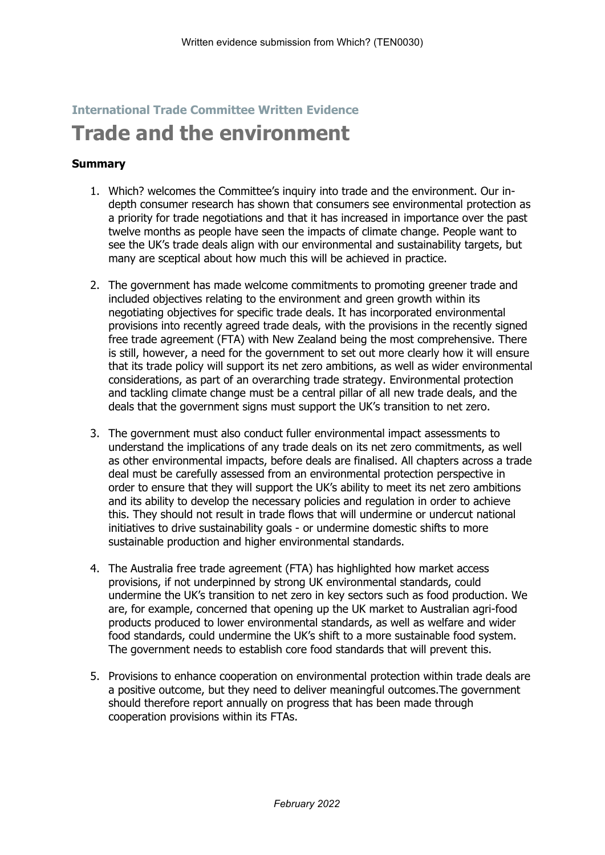## **International Trade Committee Written Evidence**

# **Trade and the environment**

## **Summary**

- 1. Which? welcomes the Committee's inquiry into trade and the environment. Our indepth consumer research has shown that consumers see environmental protection as a priority for trade negotiations and that it has increased in importance over the past twelve months as people have seen the impacts of climate change. People want to see the UK's trade deals align with our environmental and sustainability targets, but many are sceptical about how much this will be achieved in practice.
- 2. The government has made welcome commitments to promoting greener trade and included objectives relating to the environment and green growth within its negotiating objectives for specific trade deals. It has incorporated environmental provisions into recently agreed trade deals, with the provisions in the recently signed free trade agreement (FTA) with New Zealand being the most comprehensive. There is still, however, a need for the government to set out more clearly how it will ensure that its trade policy will support its net zero ambitions, as well as wider environmental considerations, as part of an overarching trade strategy. Environmental protection and tackling climate change must be a central pillar of all new trade deals, and the deals that the government signs must support the UK's transition to net zero.
- 3. The government must also conduct fuller environmental impact assessments to understand the implications of any trade deals on its net zero commitments, as well as other environmental impacts, before deals are finalised. All chapters across a trade deal must be carefully assessed from an environmental protection perspective in order to ensure that they will support the UK's ability to meet its net zero ambitions and its ability to develop the necessary policies and regulation in order to achieve this. They should not result in trade flows that will undermine or undercut national initiatives to drive sustainability goals - or undermine domestic shifts to more sustainable production and higher environmental standards.
- 4. The Australia free trade agreement (FTA) has highlighted how market access provisions, if not underpinned by strong UK environmental standards, could undermine the UK's transition to net zero in key sectors such as food production. We are, for example, concerned that opening up the UK market to Australian agri-food products produced to lower environmental standards, as well as welfare and wider food standards, could undermine the UK's shift to a more sustainable food system. The government needs to establish core food standards that will prevent this.
- 5. Provisions to enhance cooperation on environmental protection within trade deals are a positive outcome, but they need to deliver meaningful outcomes.The government should therefore report annually on progress that has been made through cooperation provisions within its FTAs.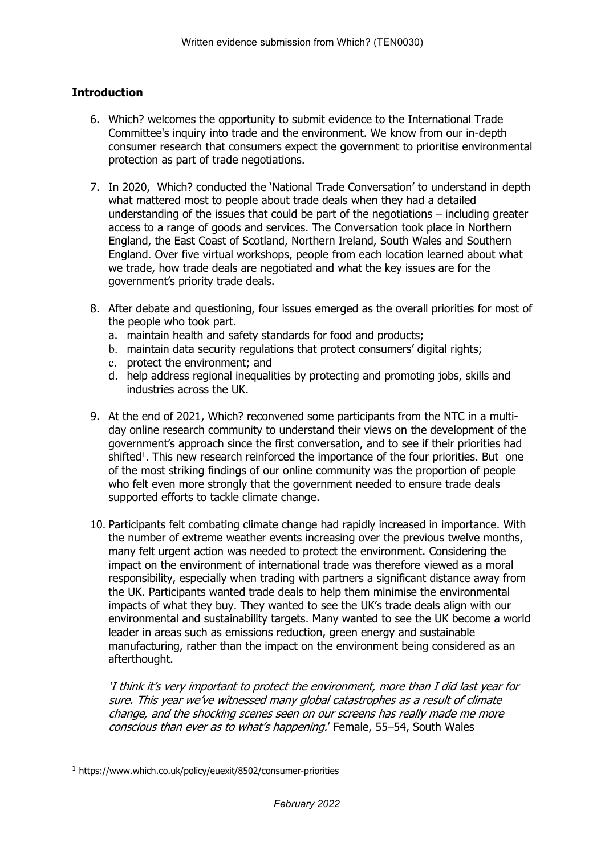## **Introduction**

- 6. Which? welcomes the opportunity to submit evidence to the International Trade Committee's inquiry into trade and the environment. We know from our in-depth consumer research that consumers expect the government to prioritise environmental protection as part of trade negotiations.
- 7. In 2020, Which? conducted the 'National Trade Conversation' to understand in depth what mattered most to people about trade deals when they had a detailed understanding of the issues that could be part of the negotiations – including greater access to a range of goods and services. The Conversation took place in Northern England, the East Coast of Scotland, Northern Ireland, South Wales and Southern England. Over five virtual workshops, people from each location learned about what we trade, how trade deals are negotiated and what the key issues are for the government's priority trade deals.
- 8. After debate and questioning, four issues emerged as the overall priorities for most of the people who took part.
	- a. maintain health and safety standards for food and products;
	- b. maintain data security regulations that protect consumers' digital rights;
	- c. protect the environment; and
	- d. help address regional inequalities by protecting and promoting jobs, skills and industries across the UK.
- 9. At the end of 2021, Which? reconvened some participants from the NTC in a multiday online research community to understand their views on the development of the government's approach since the first conversation, and to see if their priorities had shifted<sup>1</sup>. This new research reinforced the importance of the four priorities. But one of the most striking findings of our online community was the proportion of people who felt even more strongly that the government needed to ensure trade deals supported efforts to tackle climate change.
- 10. Participants felt combating climate change had rapidly increased in importance. With the number of extreme weather events increasing over the previous twelve months, many felt urgent action was needed to protect the environment. Considering the impact on the environment of international trade was therefore viewed as a moral responsibility, especially when trading with partners a significant distance away from the UK. Participants wanted trade deals to help them minimise the environmental impacts of what they buy. They wanted to see the UK's trade deals align with our environmental and sustainability targets. Many wanted to see the UK become a world leader in areas such as emissions reduction, green energy and sustainable manufacturing, rather than the impact on the environment being considered as an afterthought.

*'I think it's very important to protect the environment, more than I did last year for sure. This year we've witnessed many global catastrophes as <sup>a</sup> result of climate change, and the shocking scenes seen on our screens has really made me more conscious than ever as to what's happening.*' Female, 55–54, South Wales

<sup>1</sup> https://www.which.co.uk/policy/euexit/8502/consumer-priorities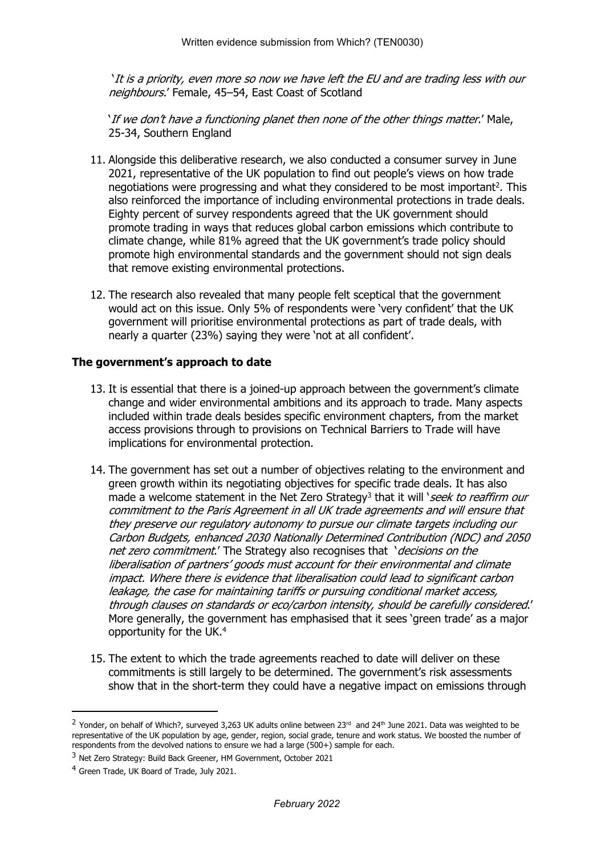'*It is <sup>a</sup> priority, even more so now we have left the EU and are trading less with our neighbours.*' Female, 45–54, East Coast of Scotland

'*If we don't have <sup>a</sup> functioning planet then none of the other things matter*.' Male, 25-34, Southern England

- 11. Alongside this deliberative research, we also conducted a consumer survey in June 2021, representative of the UK population to find out people's views on how trade negotiations were progressing and what they considered to be most important<sup>2</sup>. This also reinforced the importance of including environmental protections in trade deals. Eighty percent of survey respondents agreed that the UK government should promote trading in ways that reduces global carbon emissions which contribute to climate change, while 81% agreed that the UK government's trade policy should promote high environmental standards and the government should not sign deals that remove existing environmental protections.
- 12. The research also revealed that many people felt sceptical that the government would act on this issue. Only 5% of respondents were 'very confident' that the UK government will prioritise environmental protections as part of trade deals, with nearly a quarter (23%) saying they were 'not at all confident'.

#### **The government's approach to date**

- 13. It is essential that there is a joined-up approach between the government's climate change and wider environmental ambitions and its approach to trade. Many aspects included within trade deals besides specific environment chapters, from the market access provisions through to provisions on Technical Barriers to Trade will have implications for environmental protection.
- 14. The government has set out a number of objectives relating to the environment and green growth within its negotiating objectives for specific trade deals. It has also made a welcome statement in the Net Zero Strategy<sup>3</sup> that it will '*seek to reaffirm our commitment to the Paris Agreement in all UK trade agreements and will ensure that they preserve our regulatory autonomy to pursue our climate targets including our Carbon Budgets, enhanced 2030 Nationally Determined Contribution (NDC) and 2050 net zero commitment*.' The Strategy also recognises that '*decisions on the liberalisation of partners' goods must account for their environmental and climate impact. Where there is evidence that liberalisation could lead to significant carbon leakage, the case for maintaining tariffs or pursuing conditional market access, through clauses on standards or eco/carbon intensity, should be carefully considered*.' More generally, the government has emphasised that it sees 'green trade' as a major opportunity for the UK.<sup>4</sup>
- 15. The extent to which the trade agreements reached to date will deliver on these commitments is still largely to be determined. The government's risk assessments show that in the short-term they could have a negative impact on emissions through

 $^2$  Yonder, on behalf of Which?, surveyed 3,263 UK adults online between 23<sup>rd</sup> and 24<sup>th</sup> June 2021. Data was weighted to be representative of the UK population by age, gender, region, social grade, tenure and work status. We boosted the number of respondents from the devolved nations to ensure we had a large (500+) sample for each.

<sup>3</sup> Net Zero Strategy: Build Back Greener, HM Government, October 2021

<sup>4</sup> Green Trade, UK Board of Trade, July 2021.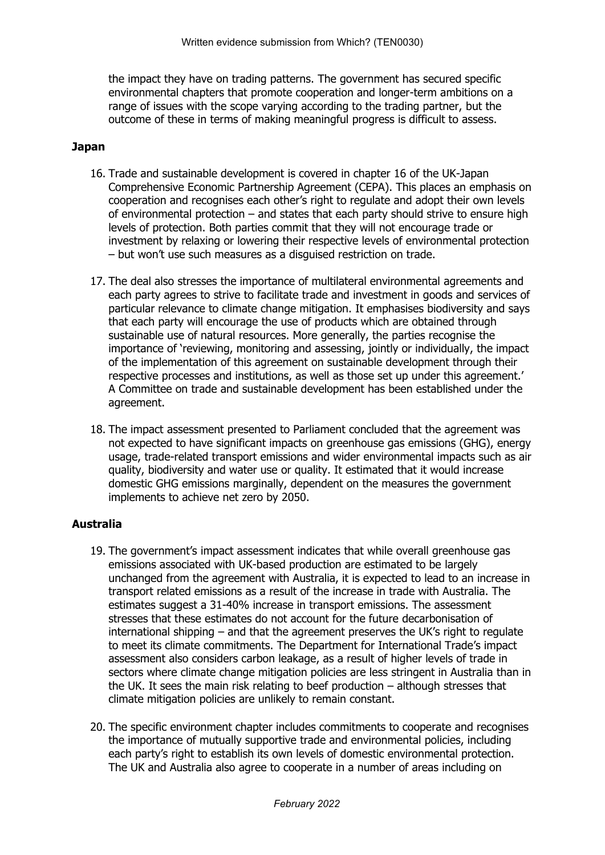the impact they have on trading patterns. The government has secured specific environmental chapters that promote cooperation and longer-term ambitions on a range of issues with the scope varying according to the trading partner, but the outcome of these in terms of making meaningful progress is difficult to assess.

#### **Japan**

- 16. Trade and sustainable development is covered in chapter 16 of the UK-Japan Comprehensive Economic Partnership Agreement (CEPA). This places an emphasis on cooperation and recognises each other's right to regulate and adopt their own levels of environmental protection – and states that each party should strive to ensure high levels of protection. Both parties commit that they will not encourage trade or investment by relaxing or lowering their respective levels of environmental protection – but won't use such measures as a disguised restriction on trade.
- 17. The deal also stresses the importance of multilateral environmental agreements and each party agrees to strive to facilitate trade and investment in goods and services of particular relevance to climate change mitigation. It emphasises biodiversity and says that each party will encourage the use of products which are obtained through sustainable use of natural resources. More generally, the parties recognise the importance of 'reviewing, monitoring and assessing, jointly or individually, the impact of the implementation of this agreement on sustainable development through their respective processes and institutions, as well as those set up under this agreement.' A Committee on trade and sustainable development has been established under the agreement.
- 18. The impact assessment presented to Parliament concluded that the agreement was not expected to have significant impacts on greenhouse gas emissions (GHG), energy usage, trade-related transport emissions and wider environmental impacts such as air quality, biodiversity and water use or quality. It estimated that it would increase domestic GHG emissions marginally, dependent on the measures the government implements to achieve net zero by 2050.

## **Australia**

- 19. The government's impact assessment indicates that while overall greenhouse gas emissions associated with UK-based production are estimated to be largely unchanged from the agreement with Australia, it is expected to lead to an increase in transport related emissions as a result of the increase in trade with Australia. The estimates suggest a 31-40% increase in transport emissions. The assessment stresses that these estimates do not account for the future decarbonisation of international shipping – and that the agreement preserves the UK's right to regulate to meet its climate commitments. The Department for International Trade's impact assessment also considers carbon leakage, as a result of higher levels of trade in sectors where climate change mitigation policies are less stringent in Australia than in the UK. It sees the main risk relating to beef production – although stresses that climate mitigation policies are unlikely to remain constant.
- 20. The specific environment chapter includes commitments to cooperate and recognises the importance of mutually supportive trade and environmental policies, including each party's right to establish its own levels of domestic environmental protection. The UK and Australia also agree to cooperate in a number of areas including on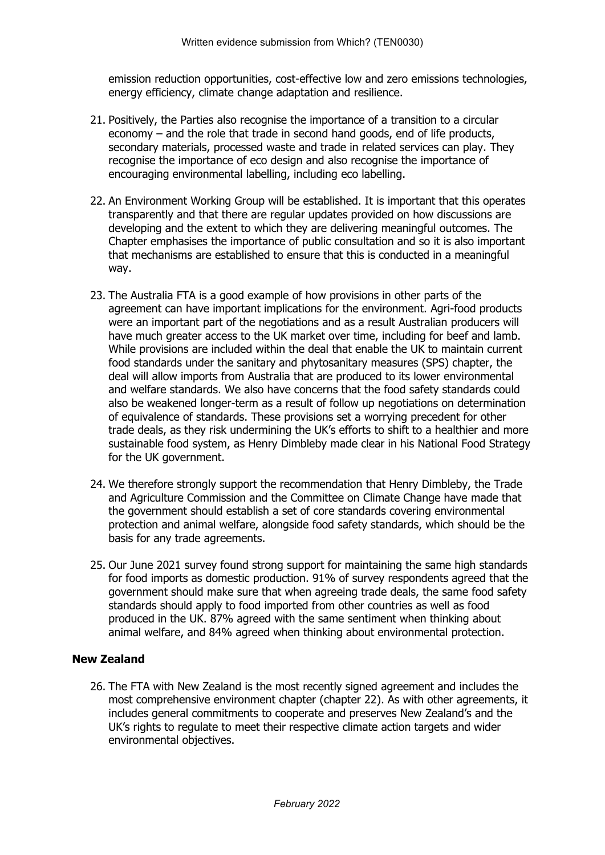emission reduction opportunities, cost-effective low and zero emissions technologies, energy efficiency, climate change adaptation and resilience.

- 21. Positively, the Parties also recognise the importance of a transition to a circular economy – and the role that trade in second hand goods, end of life products, secondary materials, processed waste and trade in related services can play. They recognise the importance of eco design and also recognise the importance of encouraging environmental labelling, including eco labelling.
- 22. An Environment Working Group will be established. It is important that this operates transparently and that there are regular updates provided on how discussions are developing and the extent to which they are delivering meaningful outcomes. The Chapter emphasises the importance of public consultation and so it is also important that mechanisms are established to ensure that this is conducted in a meaningful way.
- 23. The Australia FTA is a good example of how provisions in other parts of the agreement can have important implications for the environment. Agri-food products were an important part of the negotiations and as a result Australian producers will have much greater access to the UK market over time, including for beef and lamb. While provisions are included within the deal that enable the UK to maintain current food standards under the sanitary and phytosanitary measures (SPS) chapter, the deal will allow imports from Australia that are produced to its lower environmental and welfare standards. We also have concerns that the food safety standards could also be weakened longer-term as a result of follow up negotiations on determination of equivalence of standards. These provisions set a worrying precedent for other trade deals, as they risk undermining the UK's efforts to shift to a healthier and more sustainable food system, as Henry Dimbleby made clear in his National Food Strategy for the UK government.
- 24. We therefore strongly support the recommendation that Henry Dimbleby, the Trade and Agriculture Commission and the Committee on Climate Change have made that the government should establish a set of core standards covering environmental protection and animal welfare, alongside food safety standards, which should be the basis for any trade agreements.
- 25. Our June 2021 survey found strong support for maintaining the same high standards for food imports as domestic production. 91% of survey respondents agreed that the government should make sure that when agreeing trade deals, the same food safety standards should apply to food imported from other countries as well as food produced in the UK. 87% agreed with the same sentiment when thinking about animal welfare, and 84% agreed when thinking about environmental protection.

## **New Zealand**

26. The FTA with New Zealand is the most recently signed agreement and includes the most comprehensive environment chapter (chapter 22). As with other agreements, it includes general commitments to cooperate and preserves New Zealand's and the UK's rights to regulate to meet their respective climate action targets and wider environmental objectives.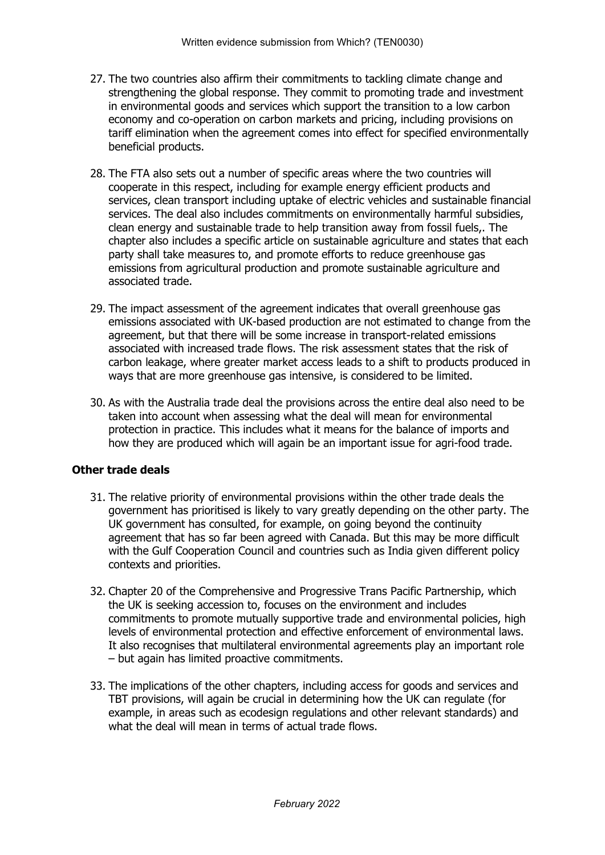- 27. The two countries also affirm their commitments to tackling climate change and strengthening the global response. They commit to promoting trade and investment in environmental goods and services which support the transition to a low carbon economy and co-operation on carbon markets and pricing, including provisions on tariff elimination when the agreement comes into effect for specified environmentally beneficial products.
- 28. The FTA also sets out a number of specific areas where the two countries will cooperate in this respect, including for example energy efficient products and services, clean transport including uptake of electric vehicles and sustainable financial services. The deal also includes commitments on environmentally harmful subsidies, clean energy and sustainable trade to help transition away from fossil fuels,. The chapter also includes a specific article on sustainable agriculture and states that each party shall take measures to, and promote efforts to reduce greenhouse gas emissions from agricultural production and promote sustainable agriculture and associated trade.
- 29. The impact assessment of the agreement indicates that overall greenhouse gas emissions associated with UK-based production are not estimated to change from the agreement, but that there will be some increase in transport-related emissions associated with increased trade flows. The risk assessment states that the risk of carbon leakage, where greater market access leads to a shift to products produced in ways that are more greenhouse gas intensive, is considered to be limited.
- 30. As with the Australia trade deal the provisions across the entire deal also need to be taken into account when assessing what the deal will mean for environmental protection in practice. This includes what it means for the balance of imports and how they are produced which will again be an important issue for agri-food trade.

### **Other trade deals**

- 31. The relative priority of environmental provisions within the other trade deals the government has prioritised is likely to vary greatly depending on the other party. The UK government has consulted, for example, on going beyond the continuity agreement that has so far been agreed with Canada. But this may be more difficult with the Gulf Cooperation Council and countries such as India given different policy contexts and priorities.
- 32. Chapter 20 of the Comprehensive and Progressive Trans Pacific Partnership, which the UK is seeking accession to, focuses on the environment and includes commitments to promote mutually supportive trade and environmental policies, high levels of environmental protection and effective enforcement of environmental laws. It also recognises that multilateral environmental agreements play an important role – but again has limited proactive commitments.
- 33. The implications of the other chapters, including access for goods and services and TBT provisions, will again be crucial in determining how the UK can regulate (for example, in areas such as ecodesign regulations and other relevant standards) and what the deal will mean in terms of actual trade flows.